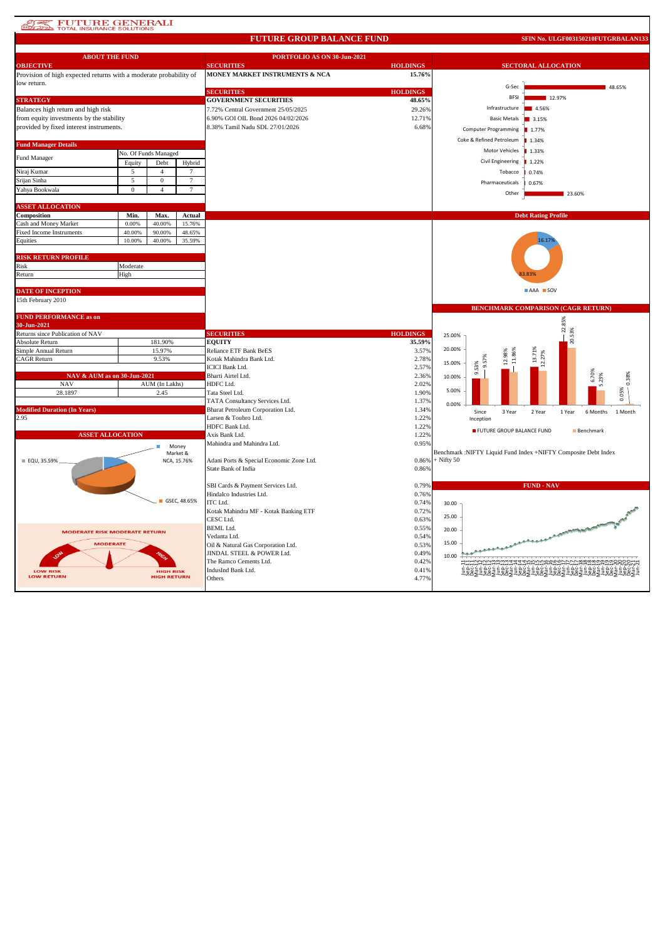# **AT PUTURE GENERALI**

### **FUTURE GROUP BALANCE FUND**

**SFIN No. ULGF003150210FUTGRBALAN133**

| <b>ABOUT THE FUND</b>                                             |              |                    |                         | PORTFOLIO AS ON 30-Jun-2021              |                 |                            |                             |                                                                |                        |
|-------------------------------------------------------------------|--------------|--------------------|-------------------------|------------------------------------------|-----------------|----------------------------|-----------------------------|----------------------------------------------------------------|------------------------|
| <b>OBJECTIVE</b>                                                  |              |                    |                         | <b>SECURITIES</b>                        | <b>HOLDINGS</b> | <b>SECTORAL ALLOCATION</b> |                             |                                                                |                        |
| Provision of high expected returns with a moderate probability of |              |                    |                         | MONEY MARKET INSTRUMENTS & NCA           | 15.76%          |                            |                             |                                                                |                        |
| low return.                                                       |              |                    |                         |                                          |                 |                            | G-Sec                       |                                                                | 48.65%                 |
|                                                                   |              |                    |                         | <b>SECURITIES</b>                        | <b>HOLDINGS</b> |                            |                             |                                                                |                        |
| <b>STRATEGY</b>                                                   |              |                    |                         | <b>GOVERNMENT SECURITIES</b>             | 48.65%          |                            | <b>BFSI</b>                 | 12.97%                                                         |                        |
| Balances high return and high risk                                |              |                    |                         | 7.72% Central Government 25/05/2025      | 29.26%          |                            | Infrastructure              | 4.56%                                                          |                        |
| from equity investments by the stability                          |              |                    |                         | 6.90% GOI OIL Bond 2026 04/02/2026       | 12.71%          |                            | <b>Basic Metals</b>         | 3.15%                                                          |                        |
| provided by fixed interest instruments.                           |              |                    |                         | 8.38% Tamil Nadu SDL 27/01/2026          | 6.68%           |                            |                             |                                                                |                        |
|                                                                   |              |                    |                         |                                          |                 |                            | <b>Computer Programming</b> | ■ 1.77%                                                        |                        |
| <b>Fund Manager Details</b>                                       |              |                    |                         |                                          |                 |                            | Coke & Refined Petroleum    | 1.34%                                                          |                        |
| No. Of Funds Managed                                              |              |                    |                         |                                          |                 |                            | <b>Motor Vehicles</b>       | 1.33%                                                          |                        |
| Fund Manager                                                      |              |                    |                         |                                          |                 |                            | <b>Civil Engineering</b>    | 1.22%                                                          |                        |
|                                                                   | Equity       | Debt               | Hybrid                  |                                          |                 |                            |                             |                                                                |                        |
| Niraj Kumar                                                       | 5            | $\overline{4}$     | 7                       |                                          |                 |                            | Tobacco                     | 0.74%                                                          |                        |
| Srijan Sinha                                                      | 5            | $\mathbf{0}$       | $\overline{7}$          |                                          |                 |                            | Pharmaceuticals             | 0.67%                                                          |                        |
| Yahya Bookwala                                                    | $\mathbf{0}$ | $\overline{4}$     | $\overline{7}$          |                                          |                 |                            | Other                       |                                                                | 23.60%                 |
|                                                                   |              |                    |                         |                                          |                 |                            |                             |                                                                |                        |
| <b>ASSET ALLOCATION</b>                                           |              |                    |                         |                                          |                 |                            |                             |                                                                |                        |
| Composition                                                       | Min.         | Max.               | Actual                  |                                          |                 |                            |                             | <b>Debt Rating Profile</b>                                     |                        |
| Cash and Money Market                                             | 0.00%        | 40.00%             | 15.76%                  |                                          |                 |                            |                             |                                                                |                        |
| Fixed Income Instruments                                          | 40.00%       | 90.00%             | 48.65%                  |                                          |                 |                            |                             |                                                                |                        |
| Equities                                                          | 10.00%       | 40.00%             | 35.59%                  |                                          |                 |                            |                             | 16.179                                                         |                        |
|                                                                   |              |                    |                         |                                          |                 |                            |                             |                                                                |                        |
| <b>RISK RETURN PROFILE</b>                                        |              |                    |                         |                                          |                 |                            |                             |                                                                |                        |
| Risk                                                              | Moderate     |                    |                         |                                          |                 |                            |                             |                                                                |                        |
| Return                                                            | High         |                    |                         |                                          |                 |                            |                             |                                                                |                        |
|                                                                   |              |                    |                         |                                          |                 |                            |                             |                                                                |                        |
| <b>DATE OF INCEPTION</b>                                          |              |                    |                         |                                          |                 |                            |                             | AAA SOV                                                        |                        |
| 15th February 2010                                                |              |                    |                         |                                          |                 |                            |                             |                                                                |                        |
|                                                                   |              |                    |                         |                                          |                 |                            |                             | BENCHMARK COMPARISON (CAGR RETURN)                             |                        |
| <b>FUND PERFORMANCE as on</b>                                     |              |                    |                         |                                          |                 |                            |                             |                                                                |                        |
| 30-Jun-2021                                                       |              |                    |                         |                                          |                 |                            |                             |                                                                |                        |
|                                                                   |              |                    |                         |                                          |                 |                            |                             |                                                                |                        |
| Returns since Publication of NAV                                  |              |                    |                         | <b>SECURITIES</b>                        | <b>HOLDINGS</b> | 25.00%                     |                             | 22.85%                                                         |                        |
| Absolute Return                                                   |              | 181.90%            |                         | <b>EQUITY</b>                            | 35.59%          |                            |                             | 20.53%                                                         |                        |
| Simple Annual Return                                              |              | 15.97%             |                         | Reliance ETF Bank BeES                   | 3.57%           | 20.00%                     |                             |                                                                |                        |
| CAGR Return                                                       |              | 9.53%              |                         | Kotak Mahindra Bank Ltd.                 | 2.78%           |                            |                             | 13.71%                                                         |                        |
|                                                                   |              |                    |                         | <b>ICICI Bank Ltd.</b>                   | 2.57%           | 15.00%                     |                             |                                                                |                        |
| NAV & AUM as on 30-Jun-2021                                       |              |                    |                         | Bharti Airtel Ltd.                       | 2.36%           | 10.00%                     | 9.53%                       |                                                                |                        |
| <b>NAV</b>                                                        |              | AUM (In Lakhs)     |                         | HDFC Ltd.                                | 2.02%           |                            |                             |                                                                | 6.70%<br>5.23%         |
| 28.1897                                                           |              | 2.45               |                         | Tata Steel Ltd.                          | 1.90%           | 5.00%                      |                             |                                                                |                        |
|                                                                   |              |                    |                         | TATA Consultancy Services Ltd.           | 1.37%           |                            |                             |                                                                | 0.05%                  |
| <b>Modified Duration (In Years)</b>                               |              |                    |                         | Bharat Petroleum Corporation Ltd.        | 1.34%           | 0.00%                      | Since                       | 1 Year                                                         |                        |
| 2.95                                                              |              |                    |                         | Larsen & Toubro Ltd.                     | 1.22%           |                            | 3 Year<br>Inception         | 2 Year                                                         | 6 Months<br>1 Month    |
|                                                                   |              |                    |                         | HDFC Bank Ltd.                           | 1.22%           |                            |                             |                                                                |                        |
| <b>ASSET ALLOCATION</b>                                           |              |                    |                         | Axis Bank Ltd.                           | 1.22%           |                            | FUTURE GROUP BALANCE FUND   |                                                                | Benchmark              |
|                                                                   |              |                    |                         | Mahindra and Mahindra Ltd.               | 0.95%           |                            |                             |                                                                |                        |
|                                                                   |              |                    | Money                   |                                          |                 |                            |                             | Benchmark :NIFTY Liquid Fund Index +NIFTY Composite Debt Index |                        |
| ■ EQU, 35.59%                                                     |              |                    | Market &<br>NCA, 15.76% | Adani Ports & Special Economic Zone Ltd. | 0.86%           | $+$ Nifty 50               |                             |                                                                |                        |
|                                                                   |              |                    |                         | State Bank of India                      | 0.86%           |                            |                             |                                                                |                        |
|                                                                   |              |                    |                         |                                          |                 |                            |                             |                                                                |                        |
|                                                                   |              |                    |                         | SBI Cards & Payment Services Ltd.        | 0.79%           |                            |                             | <b>FUND - NAV</b>                                              |                        |
|                                                                   |              |                    |                         | Hindalco Industries Ltd.                 | 0.76%           |                            |                             |                                                                |                        |
|                                                                   |              |                    | GSEC, 48.65%            | ITC Ltd.                                 | 0.74%           | 30.00                      |                             |                                                                |                        |
|                                                                   |              |                    |                         | Kotak Mahindra MF - Kotak Banking ETF    | 0.72%           |                            |                             |                                                                |                        |
|                                                                   |              |                    |                         | CESC Ltd.                                | 0.63%           | 25.00                      |                             |                                                                |                        |
|                                                                   |              |                    |                         | <b>BEML</b> Ltd.                         | 0.55%           |                            |                             |                                                                |                        |
| <b>MODERATE RISK MODERATE RETURN</b>                              |              |                    |                         | Vedanta Ltd.                             | 0.54%           | 20.00                      |                             |                                                                | Raturge de capturguard |
| <b>MODERATE</b>                                                   |              |                    |                         | Oil & Natural Gas Corporation Ltd.       | 0.53%           | 15.00                      |                             |                                                                |                        |
|                                                                   |              |                    |                         | JINDAL STEEL & POWER Ltd.                | 0.49%           |                            |                             |                                                                |                        |
|                                                                   |              |                    |                         | The Ramco Cements Ltd.                   | 0.42%           | 10.00                      |                             | iwwww.4444nnnnnoooorrrrooooooooo                               |                        |
| LOW RISK                                                          |              | <b>HIGH RISK</b>   |                         | IndusInd Bank Ltd.                       | 0.41%           |                            |                             |                                                                |                        |
| <b>LOW RETURN</b>                                                 |              | <b>HIGH RETURN</b> |                         | Others                                   | 4.77%           |                            |                             | <u>゠゙ゟゖ゚゠゠ゖゖ゠゠ゖゖ゠゠ゖゖ゠゠ゖゖ゠゠ゖゖ゠゠ゖਸ਼ਸ਼゠゠ゖヹゟ</u> ゠ヸヹ               |                        |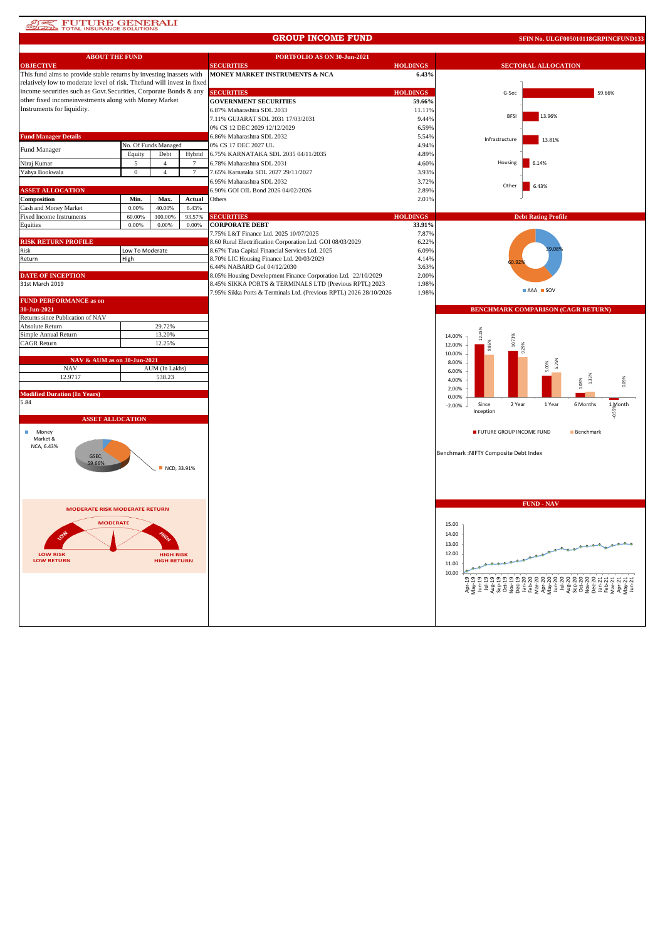# **ATAL TOTAL INSURANCE SOLUTIONS**

#### **GROUP INCOME FUND**

**SFIN No. ULGF005010118GRPINCFUND133**

| <b>ABOUT THE FUND</b>                                                                                                                       |                 |                                        |        | PORTFOLIO AS ON 30-Jun-2021                                        |                  |                                        |                                                                                                                                                                                                                                                                                                                                                                                                                                                                                      |
|---------------------------------------------------------------------------------------------------------------------------------------------|-----------------|----------------------------------------|--------|--------------------------------------------------------------------|------------------|----------------------------------------|--------------------------------------------------------------------------------------------------------------------------------------------------------------------------------------------------------------------------------------------------------------------------------------------------------------------------------------------------------------------------------------------------------------------------------------------------------------------------------------|
| <b>OBJECTIVE</b>                                                                                                                            |                 |                                        |        | <b>SECURITIES</b>                                                  | <b>HOLDINGS</b>  |                                        | <b>SECTORAL ALLOCATION</b>                                                                                                                                                                                                                                                                                                                                                                                                                                                           |
| This fund aims to provide stable returns by investing inassets with                                                                         |                 |                                        |        | MONEY MARKET INSTRUMENTS & NCA                                     | 6.43%            |                                        |                                                                                                                                                                                                                                                                                                                                                                                                                                                                                      |
| relatively low to moderate level of risk. Thefund will invest in fixed<br>income securities such as Govt. Securities, Corporate Bonds & any |                 |                                        |        | <b>SECURITIES</b>                                                  | <b>HOLDINGS</b>  |                                        |                                                                                                                                                                                                                                                                                                                                                                                                                                                                                      |
| other fixed incomeinvestments along with Money Market                                                                                       |                 |                                        |        | <b>GOVERNMENT SECURITIES</b>                                       |                  | G-Sec                                  | 59.66%                                                                                                                                                                                                                                                                                                                                                                                                                                                                               |
| Instruments for liquidity.                                                                                                                  |                 |                                        |        | 6.87% Maharashtra SDL 2033                                         | 59.66%<br>11.11% |                                        |                                                                                                                                                                                                                                                                                                                                                                                                                                                                                      |
|                                                                                                                                             |                 |                                        |        | 7.11% GUJARAT SDL 2031 17/03/2031                                  | 9.44%            | <b>BFSI</b>                            | 13.96%                                                                                                                                                                                                                                                                                                                                                                                                                                                                               |
|                                                                                                                                             |                 |                                        |        | 0% CS 12 DEC 2029 12/12/2029                                       | 6.59%            |                                        |                                                                                                                                                                                                                                                                                                                                                                                                                                                                                      |
| <b>Fund Manager Details</b>                                                                                                                 |                 |                                        |        | 6.86% Maharashtra SDL 2032                                         | 5.54%            |                                        |                                                                                                                                                                                                                                                                                                                                                                                                                                                                                      |
|                                                                                                                                             |                 | No. Of Funds Managed                   |        | 0% CS 17 DEC 2027 UL                                               | 4.94%            | Infrastructure                         | 13.81%                                                                                                                                                                                                                                                                                                                                                                                                                                                                               |
| Fund Manager                                                                                                                                | Equity          | Debt                                   | Hybrid | 6.75% KARNATAKA SDL 2035 04/11/2035                                | 4.89%            |                                        |                                                                                                                                                                                                                                                                                                                                                                                                                                                                                      |
| Niraj Kumar                                                                                                                                 | 5               | $\overline{4}$                         |        | 6.78% Maharashtra SDL 2031                                         | 4.60%            | Housing                                | 6.14%                                                                                                                                                                                                                                                                                                                                                                                                                                                                                |
| Yahya Bookwala                                                                                                                              | $\overline{0}$  | $\overline{4}$                         | $\tau$ | 7.65% Karnataka SDL 2027 29/11/2027                                | 3.93%            |                                        |                                                                                                                                                                                                                                                                                                                                                                                                                                                                                      |
|                                                                                                                                             |                 |                                        |        | 6.95% Maharashtra SDL 2032                                         | 3.72%            | Other                                  | 6.43%                                                                                                                                                                                                                                                                                                                                                                                                                                                                                |
| <b>ASSET ALLOCATION</b>                                                                                                                     |                 |                                        |        | 6.90% GOI OIL Bond 2026 04/02/2026                                 | 2.89%            |                                        |                                                                                                                                                                                                                                                                                                                                                                                                                                                                                      |
| Composition                                                                                                                                 | Min.            | Max.                                   | Actual | Others                                                             | 2.01%            |                                        |                                                                                                                                                                                                                                                                                                                                                                                                                                                                                      |
| Cash and Money Market                                                                                                                       | 0.00%           | 40.00%                                 | 6.43%  |                                                                    |                  |                                        |                                                                                                                                                                                                                                                                                                                                                                                                                                                                                      |
| Fixed Income Instruments                                                                                                                    | 60.00%          | 100.00%                                | 93.57% | <b>SECURITIES</b>                                                  | <b>HOLDINGS</b>  |                                        | <b>Debt Rating Profile</b>                                                                                                                                                                                                                                                                                                                                                                                                                                                           |
| Equities                                                                                                                                    | 0.00%           | 0.00%                                  | 0.00%  | <b>CORPORATE DEBT</b><br>7.75% L&T Finance Ltd. 2025 10/07/2025    | 33.91%<br>7.87%  |                                        |                                                                                                                                                                                                                                                                                                                                                                                                                                                                                      |
| <b>RISK RETURN PROFILE</b>                                                                                                                  |                 |                                        |        | 8.60 Rural Electrification Corporation Ltd. GOI 08/03/2029         | 6.22%            |                                        |                                                                                                                                                                                                                                                                                                                                                                                                                                                                                      |
| Risk                                                                                                                                        | Low To Moderate |                                        |        | 8.67% Tata Capital Financial Services Ltd. 2025                    | 6.09%            |                                        |                                                                                                                                                                                                                                                                                                                                                                                                                                                                                      |
| Return                                                                                                                                      | High            |                                        |        | 8.70% LIC Housing Finance Ltd. 20/03/2029                          | 4.14%            |                                        |                                                                                                                                                                                                                                                                                                                                                                                                                                                                                      |
|                                                                                                                                             |                 |                                        |        | 6.44% NABARD GoI 04/12/2030                                        | 3.63%            |                                        |                                                                                                                                                                                                                                                                                                                                                                                                                                                                                      |
| <b>DATE OF INCEPTION</b>                                                                                                                    |                 |                                        |        | 8.05% Housing Development Finance Corporation Ltd. 22/10/2029      | 2.00%            |                                        |                                                                                                                                                                                                                                                                                                                                                                                                                                                                                      |
| 31st March 2019                                                                                                                             |                 |                                        |        | 8.45% SIKKA PORTS & TERMINALS LTD (Previous RPTL) 2023             | 1.98%            |                                        |                                                                                                                                                                                                                                                                                                                                                                                                                                                                                      |
|                                                                                                                                             |                 |                                        |        | 7.95% Sikka Ports & Terminals Ltd. (Previous RPTL) 2026 28/10/2026 | 1.98%            |                                        | AAA SOV                                                                                                                                                                                                                                                                                                                                                                                                                                                                              |
| <b>FUND PERFORMANCE as on</b><br>30-Jun-2021                                                                                                |                 |                                        |        |                                                                    |                  |                                        | <b>BENCHMARK COMPARISON (CAGR RETURN)</b>                                                                                                                                                                                                                                                                                                                                                                                                                                            |
| Returns since Publication of NAV                                                                                                            |                 |                                        |        |                                                                    |                  |                                        |                                                                                                                                                                                                                                                                                                                                                                                                                                                                                      |
| Absolute Return                                                                                                                             |                 | 29.72%                                 |        |                                                                    |                  |                                        |                                                                                                                                                                                                                                                                                                                                                                                                                                                                                      |
| Simple Annual Return                                                                                                                        |                 | 13.20%                                 |        |                                                                    |                  | 14.00%<br>10.73%                       |                                                                                                                                                                                                                                                                                                                                                                                                                                                                                      |
| CAGR Return                                                                                                                                 |                 | 12.25%                                 |        |                                                                    |                  | 12.00%                                 |                                                                                                                                                                                                                                                                                                                                                                                                                                                                                      |
| NAV & AUM as on 30-Jun-2021                                                                                                                 |                 |                                        |        |                                                                    |                  | 10.00%                                 |                                                                                                                                                                                                                                                                                                                                                                                                                                                                                      |
| <b>NAV</b>                                                                                                                                  |                 | AUM (In Lakhs)                         |        |                                                                    |                  | 8.00%<br>6.00%                         |                                                                                                                                                                                                                                                                                                                                                                                                                                                                                      |
| 12.9717                                                                                                                                     |                 | 538.23                                 |        |                                                                    |                  | 4.00%                                  | 1.33%                                                                                                                                                                                                                                                                                                                                                                                                                                                                                |
|                                                                                                                                             |                 |                                        |        |                                                                    |                  | 2.00%                                  | .08%<br>0.09%                                                                                                                                                                                                                                                                                                                                                                                                                                                                        |
| <b>Modified Duration (In Years)</b>                                                                                                         |                 |                                        |        |                                                                    |                  | 0.00%                                  |                                                                                                                                                                                                                                                                                                                                                                                                                                                                                      |
| 5.84                                                                                                                                        |                 |                                        |        |                                                                    |                  | Since<br>2 Year<br>$-2.00%$            | 6 Months<br>1 Month<br>1 Year                                                                                                                                                                                                                                                                                                                                                                                                                                                        |
| <b>ASSET ALLOCATION</b>                                                                                                                     |                 |                                        |        |                                                                    |                  | Inception                              |                                                                                                                                                                                                                                                                                                                                                                                                                                                                                      |
| Money<br>ш                                                                                                                                  |                 |                                        |        |                                                                    |                  | FUTURE GROUP INCOME FUND               | Benchmark                                                                                                                                                                                                                                                                                                                                                                                                                                                                            |
| Market &<br>NCA, 6.43%                                                                                                                      |                 |                                        |        |                                                                    |                  |                                        |                                                                                                                                                                                                                                                                                                                                                                                                                                                                                      |
|                                                                                                                                             |                 |                                        |        |                                                                    |                  | Benchmark : NIFTY Composite Debt Index |                                                                                                                                                                                                                                                                                                                                                                                                                                                                                      |
| GSEC,<br>59.66%                                                                                                                             |                 |                                        |        |                                                                    |                  |                                        |                                                                                                                                                                                                                                                                                                                                                                                                                                                                                      |
|                                                                                                                                             |                 | NCD, 33.91%                            |        |                                                                    |                  |                                        |                                                                                                                                                                                                                                                                                                                                                                                                                                                                                      |
|                                                                                                                                             |                 |                                        |        |                                                                    |                  |                                        |                                                                                                                                                                                                                                                                                                                                                                                                                                                                                      |
|                                                                                                                                             |                 |                                        |        |                                                                    |                  |                                        |                                                                                                                                                                                                                                                                                                                                                                                                                                                                                      |
| <b>MODERATE RISK MODERATE RETURN</b>                                                                                                        |                 |                                        |        |                                                                    |                  |                                        | <b>FUND - NAV</b>                                                                                                                                                                                                                                                                                                                                                                                                                                                                    |
|                                                                                                                                             |                 |                                        |        |                                                                    |                  |                                        |                                                                                                                                                                                                                                                                                                                                                                                                                                                                                      |
| <b>MODERATE</b>                                                                                                                             |                 |                                        |        |                                                                    |                  | 15.00                                  |                                                                                                                                                                                                                                                                                                                                                                                                                                                                                      |
|                                                                                                                                             |                 |                                        |        |                                                                    |                  | 14.00                                  |                                                                                                                                                                                                                                                                                                                                                                                                                                                                                      |
|                                                                                                                                             |                 |                                        |        |                                                                    |                  | 13.00                                  |                                                                                                                                                                                                                                                                                                                                                                                                                                                                                      |
| <b>LOW RISK</b><br><b>LOW RETURN</b>                                                                                                        |                 | <b>HIGH RISK</b><br><b>HIGH RETURN</b> |        |                                                                    |                  | 12.00                                  |                                                                                                                                                                                                                                                                                                                                                                                                                                                                                      |
|                                                                                                                                             |                 |                                        |        |                                                                    |                  | 11.00                                  |                                                                                                                                                                                                                                                                                                                                                                                                                                                                                      |
|                                                                                                                                             |                 |                                        |        |                                                                    |                  | 10.00                                  |                                                                                                                                                                                                                                                                                                                                                                                                                                                                                      |
|                                                                                                                                             |                 |                                        |        |                                                                    |                  |                                        | $\begin{array}{l} \mathcal{P}_1 \oplus \mathcal{P}_2 \oplus \mathcal{P}_3 \oplus \mathcal{P}_4 \oplus \mathcal{P}_5 \oplus \mathcal{P}_6 \oplus \mathcal{P}_7 \oplus \mathcal{P}_8 \oplus \mathcal{P}_9 \oplus \mathcal{P}_9 \oplus \mathcal{P}_9 \oplus \mathcal{P}_9 \oplus \mathcal{P}_9 \oplus \mathcal{P}_9 \oplus \mathcal{P}_9 \oplus \mathcal{P}_9 \oplus \mathcal{P}_9 \oplus \mathcal{P}_9 \oplus \mathcal{P}_9 \oplus \mathcal{P}_9 \oplus \mathcal{P}_9 \oplus \mathcal$ |
|                                                                                                                                             |                 |                                        |        |                                                                    |                  |                                        |                                                                                                                                                                                                                                                                                                                                                                                                                                                                                      |
|                                                                                                                                             |                 |                                        |        |                                                                    |                  |                                        |                                                                                                                                                                                                                                                                                                                                                                                                                                                                                      |
|                                                                                                                                             |                 |                                        |        |                                                                    |                  |                                        |                                                                                                                                                                                                                                                                                                                                                                                                                                                                                      |
|                                                                                                                                             |                 |                                        |        |                                                                    |                  |                                        |                                                                                                                                                                                                                                                                                                                                                                                                                                                                                      |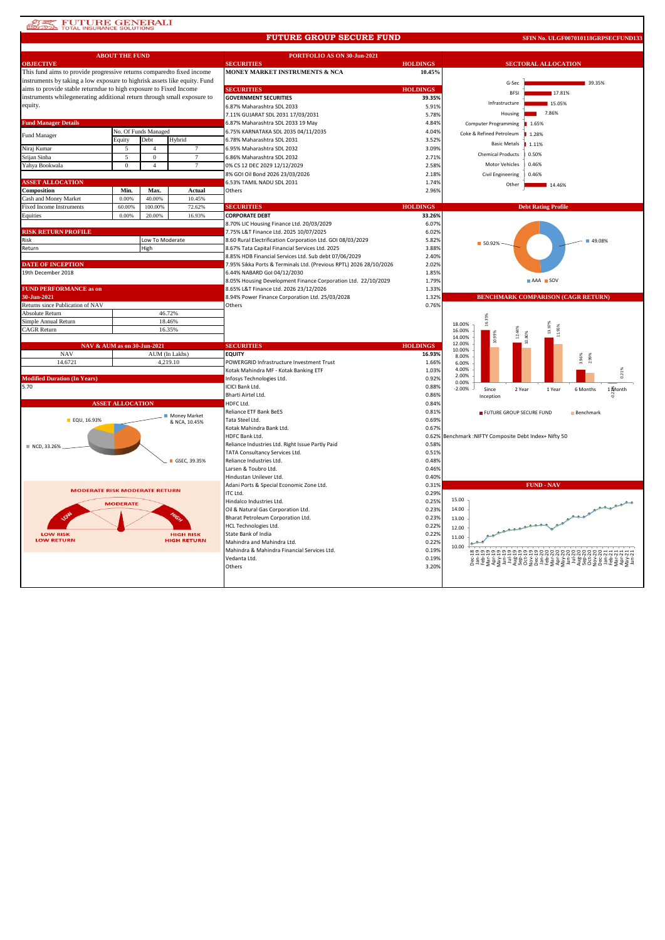### **AREA FUTURE GENERALI**<br> **ELLEVAL INSURANCE SOLUTIONS**

#### **FUTURE GROUP SECURE FUND**

**SFIN No. ULGF007010118GRPSECFUND133**

| <b>ABOUT THE FUND</b>                                                     |                          |                 |                | PORTFOLIO AS ON 30-Jun-2021                                        |                 |                                                              |  |  |
|---------------------------------------------------------------------------|--------------------------|-----------------|----------------|--------------------------------------------------------------------|-----------------|--------------------------------------------------------------|--|--|
| <b>OBJECTIVE</b>                                                          |                          |                 |                | <b>SECURITIES</b>                                                  | <b>HOLDINGS</b> | <b>SECTORAL ALLOCATION</b>                                   |  |  |
| This fund aims to provide progressive returns comparedto fixed income     |                          |                 |                | MONEY MARKET INSTRUMENTS & NCA                                     | 10.45%          |                                                              |  |  |
| instruments by taking a low exposure to highrisk assets like equity. Fund |                          |                 |                |                                                                    |                 | G-Sec<br>39.35%                                              |  |  |
| aims to provide stable returndue to high exposure to Fixed Income         |                          |                 |                | <b>SECURITIES</b>                                                  | <b>HOLDINGS</b> | <b>BFSI</b><br>17.81%                                        |  |  |
| instruments whilegenerating additional return through small exposure to   |                          |                 |                | <b>GOVERNMENT SECURITIES</b>                                       | 39.35%          |                                                              |  |  |
| equity.                                                                   |                          |                 |                | 6.87% Maharashtra SDL 2033                                         | 5.91%           | Infrastructure<br>15.05%                                     |  |  |
|                                                                           |                          |                 |                | 7.11% GUJARAT SDL 2031 17/03/2031                                  | 5.78%           | 7.86%<br>Housing                                             |  |  |
| <b>Fund Manager Details</b>                                               |                          |                 |                | 6.87% Maharashtra SDL 2033 19 May                                  | 4.84%           | Computer Programming<br>1.65%                                |  |  |
| No. Of Funds Managed                                                      |                          |                 |                | 6.75% KARNATAKA SDL 2035 04/11/2035                                | 4.04%           |                                                              |  |  |
| Fund Manager                                                              | Debt<br>Hybrid<br>Equity |                 |                | 6.78% Maharashtra SDL 2031                                         | 3.52%           | Coke & Refined Petroleum<br>1.28%                            |  |  |
| Niraj Kumar                                                               |                          | $\overline{4}$  | 7              | 6.95% Maharashtra SDL 2032                                         | 3.09%           | <b>Basic Metals</b><br>1.11%                                 |  |  |
|                                                                           |                          |                 |                |                                                                    |                 | <b>Chemical Products</b><br>0.50%                            |  |  |
| Srijan Sinha                                                              | 5                        | $\mathbf{0}$    | 7              | 6.86% Maharashtra SDL 2032                                         | 2.71%           | Motor Vehicles<br>0.46%                                      |  |  |
| Yahya Bookwala                                                            | $\mathbf{0}$             | $\overline{4}$  | $\tau$         | 0% CS 12 DEC 2029 12/12/2029                                       | 2.58%           |                                                              |  |  |
|                                                                           |                          |                 |                | 8% GOI Oil Bond 2026 23/03/2026                                    | 2.18%           | Civil Engineering<br>0.46%                                   |  |  |
| <b>ASSET ALLOCATION</b>                                                   |                          |                 |                | 6.53% TAMIL NADU SDL 2031                                          | 1.74%           | Other<br>14.46%                                              |  |  |
| Composition                                                               | Min.                     | Max.            | Actual         | Others                                                             | 2.96%           |                                                              |  |  |
| Cash and Money Market                                                     | 0.00%                    | 40.00%          | 10.45%         |                                                                    |                 |                                                              |  |  |
| <b>Fixed Income Instruments</b>                                           | 60.00%                   | 100.00%         | 72.62%         | <b>SECURITIES</b>                                                  | <b>HOLDINGS</b> | <b>Debt Rating Profile</b>                                   |  |  |
| Equities                                                                  | 0.00%                    | 20,00%          | 16.93%         | <b>CORPORATE DEBT</b>                                              | 33.26%          |                                                              |  |  |
|                                                                           |                          |                 |                | 8.70% LIC Housing Finance Ltd. 20/03/2029                          | 6.07%           |                                                              |  |  |
| <b>RISK RETURN PROFILE</b>                                                |                          |                 |                | 7.75% L&T Finance Ltd. 2025 10/07/2025                             | 6.02%           |                                                              |  |  |
| Risk                                                                      |                          | Low To Moderate |                | 8.60 Rural Electrification Corporation Ltd. GOI 08/03/2029         | 5.82%           | ■ 49.08%                                                     |  |  |
| Return                                                                    |                          | High            |                | 8.67% Tata Capital Financial Services Ltd. 2025                    | 3.88%           | ■ 50.92%                                                     |  |  |
|                                                                           |                          |                 |                | 8.85% HDB Financial Services Ltd. Sub debt 07/06/2029              | 2.40%           |                                                              |  |  |
| <b>DATE OF INCEPTION</b>                                                  |                          |                 |                | 7.95% Sikka Ports & Terminals Ltd. (Previous RPTL) 2026 28/10/2026 | 2.02%           |                                                              |  |  |
| 19th December 2018                                                        |                          |                 |                | 6.44% NABARD Gol 04/12/2030                                        | 1.85%           |                                                              |  |  |
|                                                                           |                          |                 |                |                                                                    | 1.79%           | AAA SOV                                                      |  |  |
| <b>FUND PERFORMANCE as on</b>                                             |                          |                 |                | 8.05% Housing Development Finance Corporation Ltd. 22/10/2029      | 1.33%           |                                                              |  |  |
|                                                                           |                          |                 |                | 8.65% L&T Finance Ltd. 2026 23/12/2026                             |                 |                                                              |  |  |
| 30-Jun-2021                                                               |                          |                 |                | 8.94% Power Finance Corporation Ltd. 25/03/2028                    | 1.32%           | <b>BENCHMARK COMPARISON (CAGR RETURN)</b>                    |  |  |
| Returns since Publication of NAV                                          |                          |                 |                | Others                                                             | 0.76%           |                                                              |  |  |
| Absolute Return                                                           |                          | 46.72%          |                |                                                                    |                 |                                                              |  |  |
| Simple Annual Return                                                      |                          |                 | 18.46%         |                                                                    |                 | 18.00%<br>13.97%                                             |  |  |
| <b>CAGR</b> Return                                                        |                          |                 | 16.35%         |                                                                    |                 | 11.95%<br>16.00%                                             |  |  |
|                                                                           |                          |                 |                |                                                                    |                 | 14.00%<br>12.00%                                             |  |  |
| NAV & AUM as on 30-Jun-2021                                               |                          |                 |                | <b>SECURITIES</b>                                                  | <b>HOLDINGS</b> | 10.00%                                                       |  |  |
| <b>NAV</b>                                                                |                          |                 | AUM (In Lakhs) | <b>EQUITY</b>                                                      | 16.93%          | 8.00%<br>3.96%<br>2.99%                                      |  |  |
| 14.6721                                                                   |                          |                 | 4,219.10       | POWERGRID Infrastructure Investment Trust                          | 1.66%           | 6.00%                                                        |  |  |
|                                                                           |                          |                 |                | Kotak Mahindra MF - Kotak Banking ETF                              | 1.03%           | 4.00%<br>0.21%                                               |  |  |
| <b>Modified Duration (In Years)</b>                                       |                          |                 |                | Infosys Technologies Ltd.                                          | 0.92%           | 2.00%<br>0.00%                                               |  |  |
| 5.70                                                                      |                          |                 |                | ICICI Bank Ltd.                                                    | 0.88%           | $-2.00%$<br>Since<br>2 Year<br>1 Month<br>1 Year<br>6 Months |  |  |
|                                                                           |                          |                 |                | Bharti Airtel Ltd.                                                 | 0.86%           | Inception                                                    |  |  |
|                                                                           | <b>ASSET ALLOCATION</b>  |                 |                | HDFC Ltd.                                                          | 0.84%           |                                                              |  |  |
|                                                                           |                          |                 |                | Reliance ETF Bank BeES                                             | 0.81%           | FUTURE GROUP SECURE FUND<br>Benchmark                        |  |  |
| EQU, 16.93%                                                               |                          |                 | Money Market   | Tata Steel Ltd.                                                    | 0.69%           |                                                              |  |  |
|                                                                           |                          |                 | & NCA, 10.45%  | Kotak Mahindra Bank Ltd.                                           | 0.67%           |                                                              |  |  |
|                                                                           |                          |                 |                | HDFC Bank Ltd.                                                     | 0.62%           | Benchmark :NIFTY Composite Debt Index+ Nifty 50              |  |  |
|                                                                           |                          |                 |                | Reliance Industries Ltd. Right Issue Partly Paid                   | 0.58%           |                                                              |  |  |
| NCD, 33.26%                                                               |                          |                 |                | TATA Consultancy Services Ltd.                                     | 0.51%           |                                                              |  |  |
|                                                                           |                          |                 |                |                                                                    |                 |                                                              |  |  |
|                                                                           |                          |                 | GSEC, 39.35%   | Reliance Industries Ltd.                                           | 0.48%           |                                                              |  |  |
|                                                                           |                          |                 |                | Larsen & Toubro Ltd.                                               | 0.46%           |                                                              |  |  |
|                                                                           |                          |                 |                | Hindustan Unilever Ltd.                                            | 0.40%           |                                                              |  |  |
| <b>MODERATE RISK MODERATE RETURN</b>                                      |                          |                 |                | Adani Ports & Special Economic Zone Ltd.                           | 0.31%           | <b>FUND - NAV</b>                                            |  |  |
|                                                                           |                          |                 |                | ITC Ltd.                                                           | 0.29%           |                                                              |  |  |
|                                                                           | <b>MODERATE</b>          |                 |                | Hindalco Industries Ltd.                                           | 0.25%           | 15.00                                                        |  |  |
|                                                                           |                          |                 |                | Oil & Natural Gas Corporation Ltd.                                 | 0.23%           | بتعقيم<br>14.00                                              |  |  |
| ♦                                                                         |                          |                 |                | Bharat Petroleum Corporation Ltd.                                  | 0.23%           | 13.00                                                        |  |  |
|                                                                           |                          |                 |                | HCL Technologies Ltd.                                              | 0.22%           | 12.00                                                        |  |  |
| <b>LOW RISK</b><br><b>HIGH RISK</b>                                       |                          |                 |                | State Bank of India                                                | 0.22%           | 11.00                                                        |  |  |
| <b>LOW RETURN</b><br><b>HIGH RETURN</b>                                   |                          |                 |                | Mahindra and Mahindra Ltd.                                         | 0.22%           |                                                              |  |  |
|                                                                           |                          |                 |                | Mahindra & Mahindra Financial Services Ltd.                        | 0.19%           | 10.00                                                        |  |  |
|                                                                           |                          |                 |                | Vedanta Ltd.                                                       | 0.19%           |                                                              |  |  |
|                                                                           |                          |                 |                | Others                                                             | 3.20%           |                                                              |  |  |
|                                                                           |                          |                 |                |                                                                    |                 |                                                              |  |  |
|                                                                           |                          |                 |                |                                                                    |                 |                                                              |  |  |
|                                                                           |                          |                 |                |                                                                    |                 |                                                              |  |  |